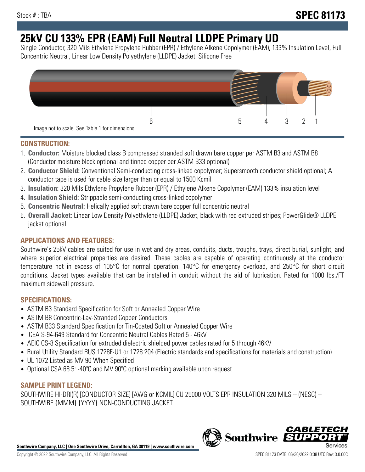# **25kV CU 133% EPR (EAM) Full Neutral LLDPE Primary UD**

Single Conductor, 320 Mils Ethylene Propylene Rubber (EPR) / Ethylene Alkene Copolymer (EAM), 133% Insulation Level, Full Concentric Neutral, Linear Low Density Polyethylene (LLDPE) Jacket. Silicone Free



### **CONSTRUCTION:**

- 1. **Conductor:** Moisture blocked class B compressed stranded soft drawn bare copper per ASTM B3 and ASTM B8 (Conductor moisture block optional and tinned copper per ASTM B33 optional)
- 2. **Conductor Shield:** Conventional Semi-conducting cross-linked copolymer; Supersmooth conductor shield optional; A conductor tape is used for cable size larger than or equal to 1500 Kcmil
- 3. **Insulation:** 320 Mils Ethylene Propylene Rubber (EPR) / Ethylene Alkene Copolymer (EAM) 133% insulation level
- 4. **Insulation Shield:** Strippable semi-conducting cross-linked copolymer
- 5. **Concentric Neutral:** Helically applied soft drawn bare copper full concentric neutral
- 6. **Overall Jacket:** Linear Low Density Polyethylene (LLDPE) Jacket, black with red extruded stripes; PowerGlide® LLDPE jacket optional

## **APPLICATIONS AND FEATURES:**

Southwire's 25kV cables are suited for use in wet and dry areas, conduits, ducts, troughs, trays, direct burial, sunlight, and where superior electrical properties are desired. These cables are capable of operating continuously at the conductor temperature not in excess of 105°C for normal operation. 140°C for emergency overload, and 250°C for short circuit conditions. Jacket types available that can be installed in conduit without the aid of lubrication. Rated for 1000 lbs./FT maximum sidewall pressure.

## **SPECIFICATIONS:**

- ASTM B3 Standard Specification for Soft or Annealed Copper Wire
- ASTM B8 Concentric-Lay-Stranded Copper Conductors
- ASTM B33 Standard Specification for Tin-Coated Soft or Annealed Copper Wire
- ICEA S-94-649 Standard for Concentric Neutral Cables Rated 5 46kV
- AEIC CS-8 Specification for extruded dielectric shielded power cables rated for 5 through 46KV
- Rural Utility Standard RUS 1728F-U1 or 1728.204 (Electric standards and specifications for materials and construction)
- UL 1072 Listed as MV 90 When Specified
- Optional CSA 68.5: -40°C and MV 90°C optional marking available upon request

# **SAMPLE PRINT LEGEND:**

SOUTHWIRE HI-DRI(R) [CONDUCTOR SIZE] [AWG or KCMIL] CU 25000 VOLTS EPR INSULATION 320 MILS -- (NESC) -- SOUTHWIRE {MMM} {YYYY} NON-CONDUCTING JACKET

**Southwire Company, LLC | One Southwire Drive, Carrollton, GA 30119 | www.southwire.com**